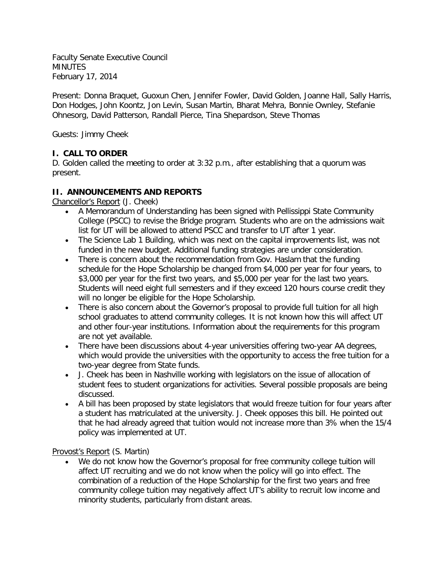Faculty Senate Executive Council MINUTES February 17, 2014

Present: Donna Braquet, Guoxun Chen, Jennifer Fowler, David Golden, Joanne Hall, Sally Harris, Don Hodges, John Koontz, Jon Levin, Susan Martin, Bharat Mehra, Bonnie Ownley, Stefanie Ohnesorg, David Patterson, Randall Pierce, Tina Shepardson, Steve Thomas

Guests: Jimmy Cheek

# **I. CALL TO ORDER**

D. Golden called the meeting to order at 3:32 p.m., after establishing that a quorum was present.

# **II. ANNOUNCEMENTS AND REPORTS**

Chancellor's Report (J. Cheek)

- A Memorandum of Understanding has been signed with Pellissippi State Community College (PSCC) to revise the Bridge program. Students who are on the admissions wait list for UT will be allowed to attend PSCC and transfer to UT after 1 year.
- The Science Lab 1 Building, which was next on the capital improvements list, was not funded in the new budget. Additional funding strategies are under consideration.
- There is concern about the recommendation from Gov. Haslam that the funding schedule for the Hope Scholarship be changed from \$4,000 per year for four years, to \$3,000 per year for the first two years, and \$5,000 per year for the last two years. Students will need eight full semesters and if they exceed 120 hours course credit they will no longer be eligible for the Hope Scholarship.
- There is also concern about the Governor's proposal to provide full tuition for all high school graduates to attend community colleges. It is not known how this will affect UT and other four-year institutions. Information about the requirements for this program are not yet available.
- There have been discussions about 4-year universities offering two-year AA degrees, which would provide the universities with the opportunity to access the free tuition for a two-year degree from State funds.
- J. Cheek has been in Nashville working with legislators on the issue of allocation of student fees to student organizations for activities. Several possible proposals are being discussed.
- A bill has been proposed by state legislators that would freeze tuition for four years after a student has matriculated at the university. J. Cheek opposes this bill. He pointed out that he had already agreed that tuition would not increase more than 3% when the 15/4 policy was implemented at UT.

Provost's Report (S. Martin)

• We do not know how the Governor's proposal for free community college tuition will affect UT recruiting and we do not know when the policy will go into effect. The combination of a reduction of the Hope Scholarship for the first two years and free community college tuition may negatively affect UT's ability to recruit low income and minority students, particularly from distant areas.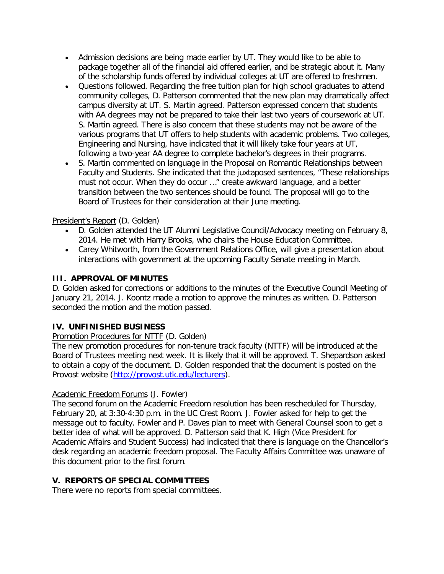- Admission decisions are being made earlier by UT. They would like to be able to package together all of the financial aid offered earlier, and be strategic about it. Many of the scholarship funds offered by individual colleges at UT are offered to freshmen.
- Questions followed. Regarding the free tuition plan for high school graduates to attend community colleges, D. Patterson commented that the new plan may dramatically affect campus diversity at UT. S. Martin agreed. Patterson expressed concern that students with AA degrees may not be prepared to take their last two years of coursework at UT. S. Martin agreed. There is also concern that these students may not be aware of the various programs that UT offers to help students with academic problems. Two colleges, Engineering and Nursing, have indicated that it will likely take four years at UT, following a two-year AA degree to complete bachelor's degrees in their programs.
- S. Martin commented on language in the Proposal on Romantic Relationships between Faculty and Students. She indicated that the juxtaposed sentences, "These relationships must not occur. When they do occur …" create awkward language, and a better transition between the two sentences should be found. The proposal will go to the Board of Trustees for their consideration at their June meeting.

# President's Report (D. Golden)

- D. Golden attended the UT Alumni Legislative Council/Advocacy meeting on February 8, 2014. He met with Harry Brooks, who chairs the House Education Committee.
- Carey Whitworth, from the Government Relations Office, will give a presentation about interactions with government at the upcoming Faculty Senate meeting in March.

## **III. APPROVAL OF MINUTES**

D. Golden asked for corrections or additions to the minutes of the Executive Council Meeting of January 21, 2014. J. Koontz made a motion to approve the minutes as written. D. Patterson seconded the motion and the motion passed.

# **IV. UNFINISHED BUSINESS**

## Promotion Procedures for NTTF (D. Golden)

The new promotion procedures for non-tenure track faculty (NTTF) will be introduced at the Board of Trustees meeting next week. It is likely that it will be approved. T. Shepardson asked to obtain a copy of the document. D. Golden responded that the document is posted on the Provost website [\(http://provost.utk.edu/lecturers\)](http://provost.utk.edu/lecturers).

## Academic Freedom Forums (J. Fowler)

The second forum on the Academic Freedom resolution has been rescheduled for Thursday, February 20, at 3:30-4:30 p.m. in the UC Crest Room. J. Fowler asked for help to get the message out to faculty. Fowler and P. Daves plan to meet with General Counsel soon to get a better idea of what will be approved. D. Patterson said that K. High (Vice President for Academic Affairs and Student Success) had indicated that there is language on the Chancellor's desk regarding an academic freedom proposal. The Faculty Affairs Committee was unaware of this document prior to the first forum.

# **V. REPORTS OF SPECIAL COMMITTEES**

There were no reports from special committees.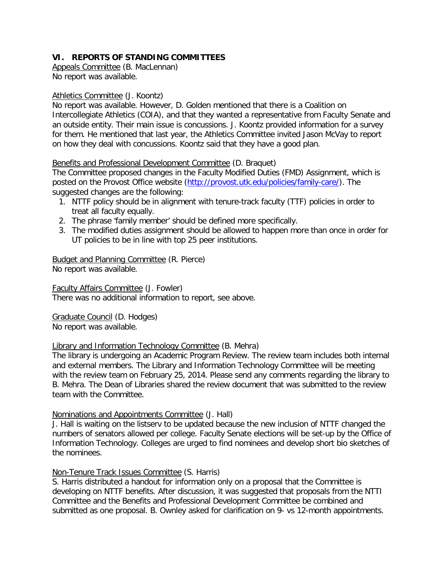## **VI. REPORTS OF STANDING COMMITTEES**

Appeals Committee (B. MacLennan) No report was available.

#### Athletics Committee (J. Koontz)

No report was available. However, D. Golden mentioned that there is a Coalition on Intercollegiate Athletics (COIA), and that they wanted a representative from Faculty Senate and an outside entity. Their main issue is concussions. J. Koontz provided information for a survey for them. He mentioned that last year, the Athletics Committee invited Jason McVay to report on how they deal with concussions. Koontz said that they have a good plan.

## Benefits and Professional Development Committee (D. Braquet)

The Committee proposed changes in the Faculty Modified Duties (FMD) Assignment, which is posted on the Provost Office website [\(http://provost.utk.edu/policies/family-care/\)](http://provost.utk.edu/policies/family-care/). The suggested changes are the following:

- 1. NTTF policy should be in alignment with tenure-track faculty (TTF) policies in order to treat all faculty equally.
- 2. The phrase 'family member' should be defined more specifically.
- 3. The modified duties assignment should be allowed to happen more than once in order for UT policies to be in line with top 25 peer institutions.

Budget and Planning Committee (R. Pierce) No report was available.

Faculty Affairs Committee (J. Fowler) There was no additional information to report, see above.

Graduate Council (D. Hodges) No report was available.

## Library and Information Technology Committee (B. Mehra)

The library is undergoing an Academic Program Review. The review team includes both internal and external members. The Library and Information Technology Committee will be meeting with the review team on February 25, 2014. Please send any comments regarding the library to B. Mehra. The Dean of Libraries shared the review document that was submitted to the review team with the Committee.

#### Nominations and Appointments Committee (J. Hall)

J. Hall is waiting on the listserv to be updated because the new inclusion of NTTF changed the numbers of senators allowed per college. Faculty Senate elections will be set-up by the Office of Information Technology. Colleges are urged to find nominees and develop short bio sketches of the nominees.

## Non-Tenure Track Issues Committee (S. Harris)

S. Harris distributed a handout for information only on a proposal that the Committee is developing on NTTF benefits. After discussion, it was suggested that proposals from the NTTI Committee and the Benefits and Professional Development Committee be combined and submitted as one proposal. B. Ownley asked for clarification on 9- vs 12-month appointments.